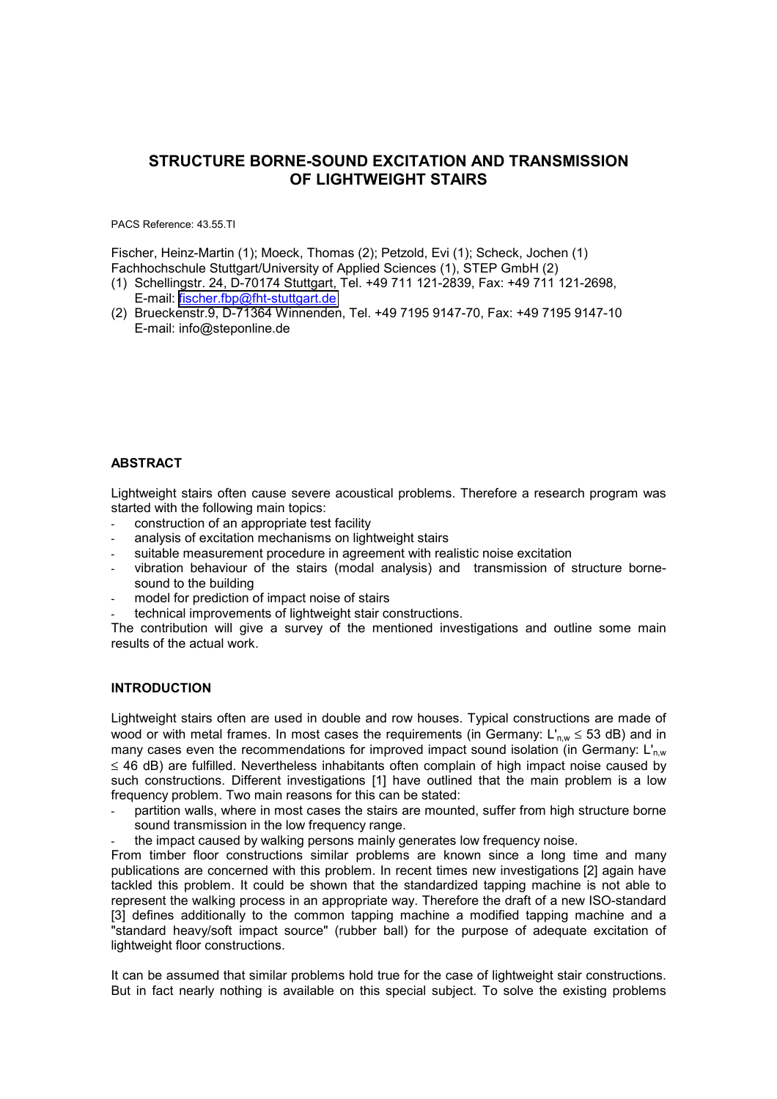# **STRUCTURE BORNE-SOUND EXCITATION AND TRANSMISSION OF LIGHTWEIGHT STAIRS**

PACS Reference: 43.55.TI

Fischer, Heinz-Martin (1); Moeck, Thomas (2); Petzold, Evi (1); Scheck, Jochen (1) Fachhochschule Stuttgart/University of Applied Sciences (1), STEP GmbH (2)

- (1) Schellingstr. 24, D-70174 Stuttgart, Tel. +49 711 121-2839, Fax: +49 711 121-2698, E-mail: [fischer.fbp@fht-stuttgart.de](mailto:fischer.fbp@fht-stuttgart.de)
- (2) Brueckenstr.9, D-71364 Winnenden, Tel. +49 7195 9147-70, Fax: +49 7195 9147-10 E-mail: info@steponline.de

## **ABSTRACT**

Lightweight stairs often cause severe acoustical problems. Therefore a research program was started with the following main topics:

- construction of an appropriate test facility
- analysis of excitation mechanisms on lightweight stairs
- suitable measurement procedure in agreement with realistic noise excitation
- vibration behaviour of the stairs (modal analysis) and transmission of structure bornesound to the building
- model for prediction of impact noise of stairs
- technical improvements of lightweight stair constructions.

The contribution will give a survey of the mentioned investigations and outline some main results of the actual work.

#### **INTRODUCTION**

Lightweight stairs often are used in double and row houses. Typical constructions are made of wood or with metal frames. In most cases the requirements (in Germany:  $L'_{nw} \leq 53$  dB) and in many cases even the recommendations for improved impact sound isolation (in Germany:  $L'_{\text{nw}}$ ) ≤ 46 dB) are fulfilled. Nevertheless inhabitants often complain of high impact noise caused by such constructions. Different investigations [1] have outlined that the main problem is a low frequency problem. Two main reasons for this can be stated:

- partition walls, where in most cases the stairs are mounted, suffer from high structure borne sound transmission in the low frequency range.
- the impact caused by walking persons mainly generates low frequency noise.

From timber floor constructions similar problems are known since a long time and many publications are concerned with this problem. In recent times new investigations [2] again have tackled this problem. It could be shown that the standardized tapping machine is not able to represent the walking process in an appropriate way. Therefore the draft of a new ISO-standard [3] defines additionally to the common tapping machine a modified tapping machine and a "standard heavy/soft impact source" (rubber ball) for the purpose of adequate excitation of lightweight floor constructions.

It can be assumed that similar problems hold true for the case of lightweight stair constructions. But in fact nearly nothing is available on this special subject. To solve the existing problems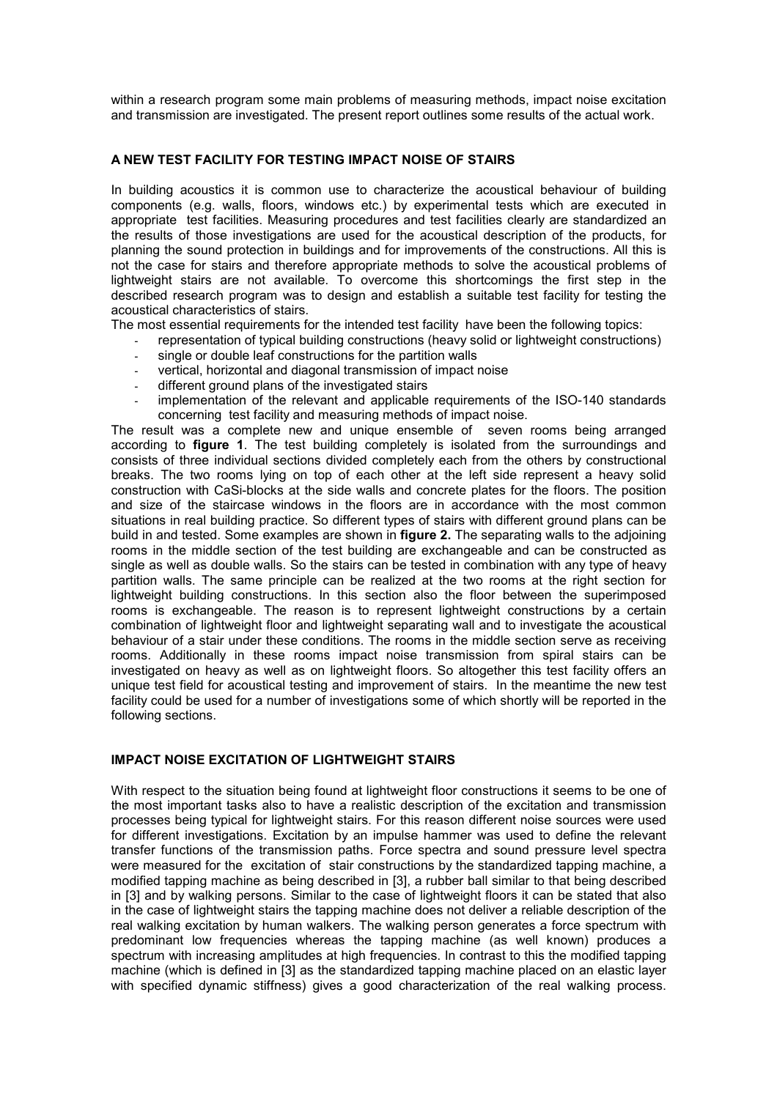within a research program some main problems of measuring methods, impact noise excitation and transmission are investigated. The present report outlines some results of the actual work.

#### **A NEW TEST FACILITY FOR TESTING IMPACT NOISE OF STAIRS**

In building acoustics it is common use to characterize the acoustical behaviour of building components (e.g. walls, floors, windows etc.) by experimental tests which are executed in appropriate test facilities. Measuring procedures and test facilities clearly are standardized an the results of those investigations are used for the acoustical description of the products, for planning the sound protection in buildings and for improvements of the constructions. All this is not the case for stairs and therefore appropriate methods to solve the acoustical problems of lightweight stairs are not available. To overcome this shortcomings the first step in the described research program was to design and establish a suitable test facility for testing the acoustical characteristics of stairs.

The most essential requirements for the intended test facility have been the following topics:

- representation of typical building constructions (heavy solid or lightweight constructions)
- single or double leaf constructions for the partition walls
- vertical, horizontal and diagonal transmission of impact noise
- different ground plans of the investigated stairs
- implementation of the relevant and applicable requirements of the ISO-140 standards concerning test facility and measuring methods of impact noise.

The result was a complete new and unique ensemble of seven rooms being arranged according to **figure 1**. The test building completely is isolated from the surroundings and consists of three individual sections divided completely each from the others by constructional breaks. The two rooms lying on top of each other at the left side represent a heavy solid construction with CaSi-blocks at the side walls and concrete plates for the floors. The position and size of the staircase windows in the floors are in accordance with the most common situations in real building practice. So different types of stairs with different ground plans can be build in and tested. Some examples are shown in **figure 2.** The separating walls to the adjoining rooms in the middle section of the test building are exchangeable and can be constructed as single as well as double walls. So the stairs can be tested in combination with any type of heavy partition walls. The same principle can be realized at the two rooms at the right section for lightweight building constructions. In this section also the floor between the superimposed rooms is exchangeable. The reason is to represent lightweight constructions by a certain combination of lightweight floor and lightweight separating wall and to investigate the acoustical behaviour of a stair under these conditions. The rooms in the middle section serve as receiving rooms. Additionally in these rooms impact noise transmission from spiral stairs can be investigated on heavy as well as on lightweight floors. So altogether this test facility offers an unique test field for acoustical testing and improvement of stairs. In the meantime the new test facility could be used for a number of investigations some of which shortly will be reported in the following sections.

## **IMPACT NOISE EXCITATION OF LIGHTWEIGHT STAIRS**

With respect to the situation being found at lightweight floor constructions it seems to be one of the most important tasks also to have a realistic description of the excitation and transmission processes being typical for lightweight stairs. For this reason different noise sources were used for different investigations. Excitation by an impulse hammer was used to define the relevant transfer functions of the transmission paths. Force spectra and sound pressure level spectra were measured for the excitation of stair constructions by the standardized tapping machine, a modified tapping machine as being described in [3], a rubber ball similar to that being described in [3] and by walking persons. Similar to the case of lightweight floors it can be stated that also in the case of lightweight stairs the tapping machine does not deliver a reliable description of the real walking excitation by human walkers. The walking person generates a force spectrum with predominant low frequencies whereas the tapping machine (as well known) produces a spectrum with increasing amplitudes at high frequencies. In contrast to this the modified tapping machine (which is defined in [3] as the standardized tapping machine placed on an elastic layer with specified dynamic stiffness) gives a good characterization of the real walking process.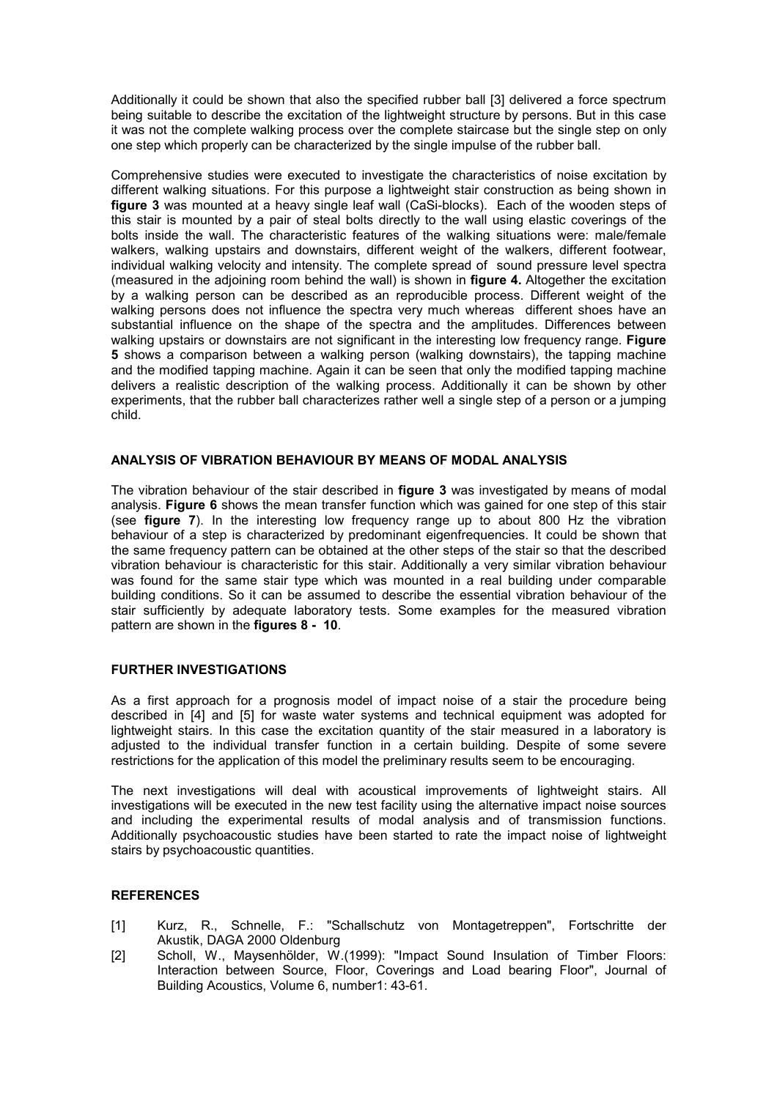Additionally it could be shown that also the specified rubber ball [3] delivered a force spectrum being suitable to describe the excitation of the lightweight structure by persons. But in this case it was not the complete walking process over the complete staircase but the single step on only one step which properly can be characterized by the single impulse of the rubber ball.

Comprehensive studies were executed to investigate the characteristics of noise excitation by different walking situations. For this purpose a lightweight stair construction as being shown in **figure 3** was mounted at a heavy single leaf wall (CaSi-blocks). Each of the wooden steps of this stair is mounted by a pair of steal bolts directly to the wall using elastic coverings of the bolts inside the wall. The characteristic features of the walking situations were: male/female walkers, walking upstairs and downstairs, different weight of the walkers, different footwear, individual walking velocity and intensity. The complete spread of sound pressure level spectra (measured in the adjoining room behind the wall) is shown in **figure 4.** Altogether the excitation by a walking person can be described as an reproducible process. Different weight of the walking persons does not influence the spectra very much whereas different shoes have an substantial influence on the shape of the spectra and the amplitudes. Differences between walking upstairs or downstairs are not significant in the interesting low frequency range. **Figure 5** shows a comparison between a walking person (walking downstairs), the tapping machine and the modified tapping machine. Again it can be seen that only the modified tapping machine delivers a realistic description of the walking process. Additionally it can be shown by other experiments, that the rubber ball characterizes rather well a single step of a person or a jumping child.

#### **ANALYSIS OF VIBRATION BEHAVIOUR BY MEANS OF MODAL ANALYSIS**

The vibration behaviour of the stair described in **figure 3** was investigated by means of modal analysis. **Figure 6** shows the mean transfer function which was gained for one step of this stair (see **figure 7**). In the interesting low frequency range up to about 800 Hz the vibration behaviour of a step is characterized by predominant eigenfrequencies. It could be shown that the same frequency pattern can be obtained at the other steps of the stair so that the described vibration behaviour is characteristic for this stair. Additionally a very similar vibration behaviour was found for the same stair type which was mounted in a real building under comparable building conditions. So it can be assumed to describe the essential vibration behaviour of the stair sufficiently by adequate laboratory tests. Some examples for the measured vibration pattern are shown in the **figures 8 - 10**.

#### **FURTHER INVESTIGATIONS**

As a first approach for a prognosis model of impact noise of a stair the procedure being described in [4] and [5] for waste water systems and technical equipment was adopted for lightweight stairs. In this case the excitation quantity of the stair measured in a laboratory is adjusted to the individual transfer function in a certain building. Despite of some severe restrictions for the application of this model the preliminary results seem to be encouraging.

The next investigations will deal with acoustical improvements of lightweight stairs. All investigations will be executed in the new test facility using the alternative impact noise sources and including the experimental results of modal analysis and of transmission functions. Additionally psychoacoustic studies have been started to rate the impact noise of lightweight stairs by psychoacoustic quantities.

#### **REFERENCES**

- [1] Kurz, R., Schnelle, F.: "Schallschutz von Montagetreppen", Fortschritte der Akustik, DAGA 2000 Oldenburg
- [2] Scholl, W., Maysenhölder, W.(1999): "Impact Sound Insulation of Timber Floors: Interaction between Source, Floor, Coverings and Load bearing Floor", Journal of Building Acoustics, Volume 6, number1: 43-61.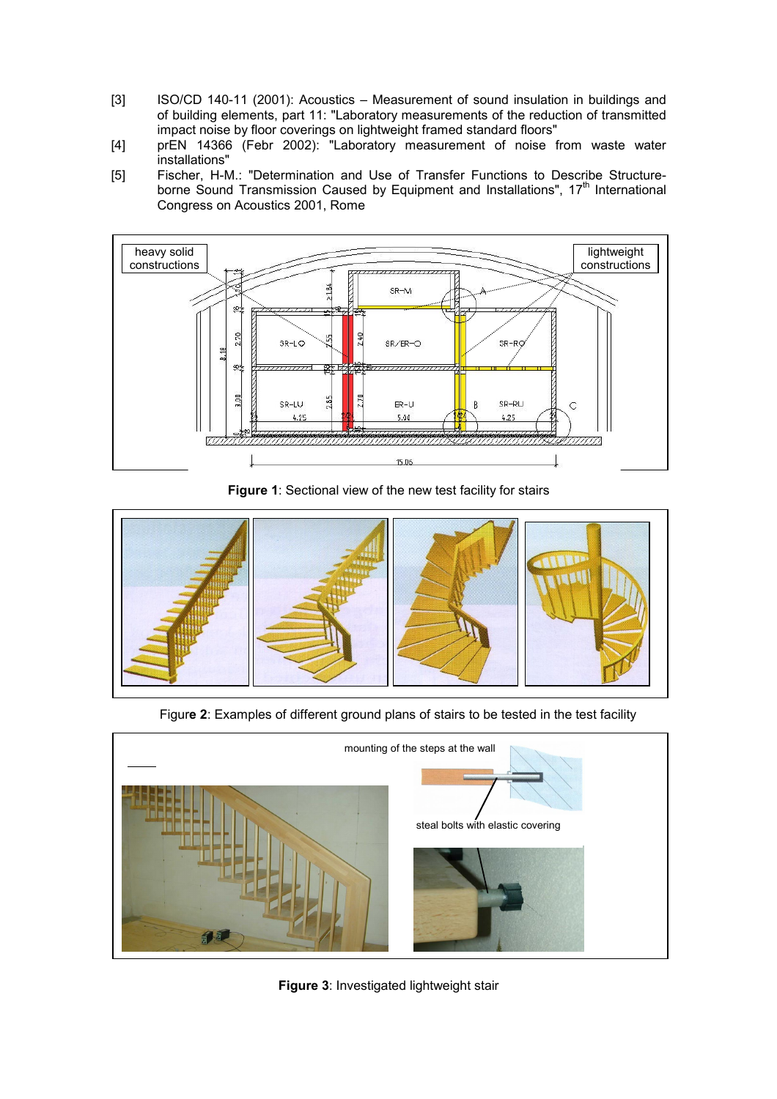- [3] ISO/CD 140-11 (2001): Acoustics Measurement of sound insulation in buildings and of building elements, part 11: "Laboratory measurements of the reduction of transmitted impact noise by floor coverings on lightweight framed standard floors"
- [4] prEN 14366 (Febr 2002): "Laboratory measurement of noise from waste water installations"
- [5] Fischer, H-M.: "Determination and Use of Transfer Functions to Describe Structure borne Sound Transmission Caused by Equipment and Installations", 17<sup>th</sup> International Congress on Acoustics 2001, Rome



**Figure 1**: Sectional view of the new test facility for stairs



Figur**e 2**: Examples of different ground plans of stairs to be tested in the test facility



**Figure 3**: Investigated lightweight stair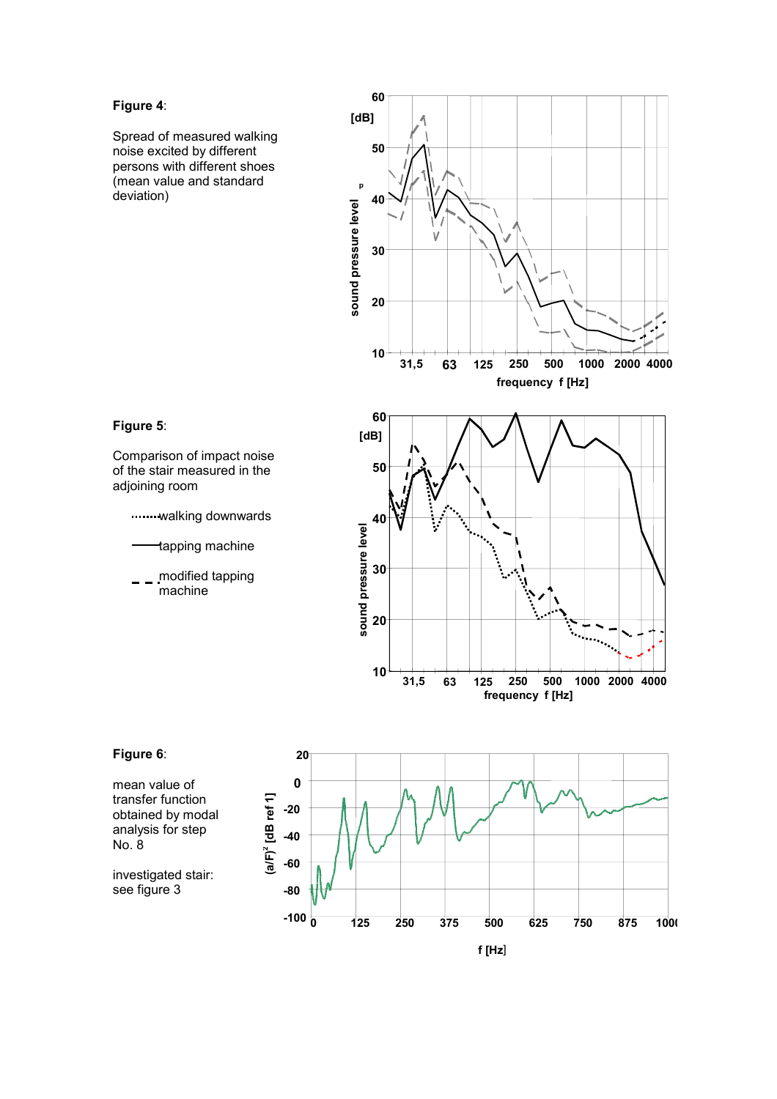### **Figure 4**:

Spread of measured walking noise excited by different persons with different shoes (mean value and standard deviation)



## **Figure 5**:

Comparison of impact noise of the stair measured in the adjoining room

.......walking downwards

- tapping machine
- modified tapping machine



## **Figure 6**:

mean value of transfer function obtained by modal analysis for step No. 8

investigated stair: see figure 3